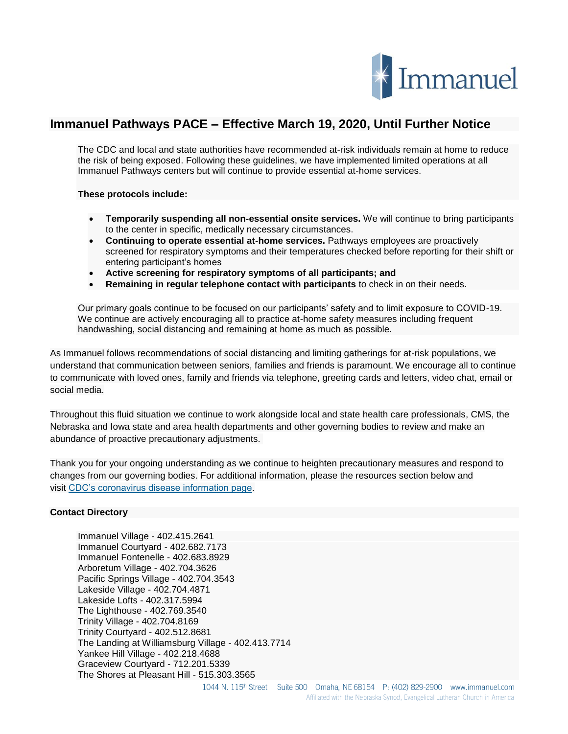

## **Immanuel Pathways PACE – Effective March 19, 2020, Until Further Notice**

The CDC and local and state authorities have recommended at-risk individuals remain at home to reduce the risk of being exposed. Following these guidelines, we have implemented limited operations at all Immanuel Pathways centers but will continue to provide essential at-home services.

## **These protocols include:**

- **Temporarily suspending all non-essential onsite services.** We will continue to bring participants to the center in specific, medically necessary circumstances.
- **Continuing to operate essential at-home services.** Pathways employees are proactively screened for respiratory symptoms and their temperatures checked before reporting for their shift or entering participant's homes
- **Active screening for respiratory symptoms of all participants; and**
- **Remaining in regular telephone contact with participants** to check in on their needs.

Our primary goals continue to be focused on our participants' safety and to limit exposure to COVID-19. We continue are actively encouraging all to practice at-home safety measures including frequent handwashing, social distancing and remaining at home as much as possible.

As Immanuel follows recommendations of social distancing and limiting gatherings for at-risk populations, we understand that communication between seniors, families and friends is paramount. We encourage all to continue to communicate with loved ones, family and friends via telephone, greeting cards and letters, video chat, email or social media.

Throughout this fluid situation we continue to work alongside local and state health care professionals, CMS, the Nebraska and Iowa state and area health departments and other governing bodies to review and make an abundance of proactive precautionary adjustments.

Thank you for your ongoing understanding as we continue to heighten precautionary measures and respond to changes from our governing bodies. For additional information, please the resources section below and visit [CDC's coronavirus disease information page.](https://www.cdc.gov/coronavirus/2019-ncov/index.html%C2%A0)

## **Contact Directory**

Immanuel Village - 402.415.2641 Immanuel Courtyard - 402.682.7173 Immanuel Fontenelle - 402.683.8929 Arboretum Village - 402.704.3626 Pacific Springs Village - 402.704.3543 Lakeside Village - 402.704.4871 Lakeside Lofts - 402.317.5994 The Lighthouse - 402.769.3540 Trinity Village - 402.704.8169 Trinity Courtyard - 402.512.8681 The Landing at Williamsburg Village - 402.413.7714 Yankee Hill Village - 402.218.4688 Graceview Courtyard - 712.201.5339 The Shores at Pleasant Hill - 515.303.3565

1044 N. 115<sup>th</sup> Street Suite 500 Omaha, NE 68154 P: (402) 829-2900 www.immanuel.com Affiliated with the Nebraska Synod, Evangelical Lutheran Church in America